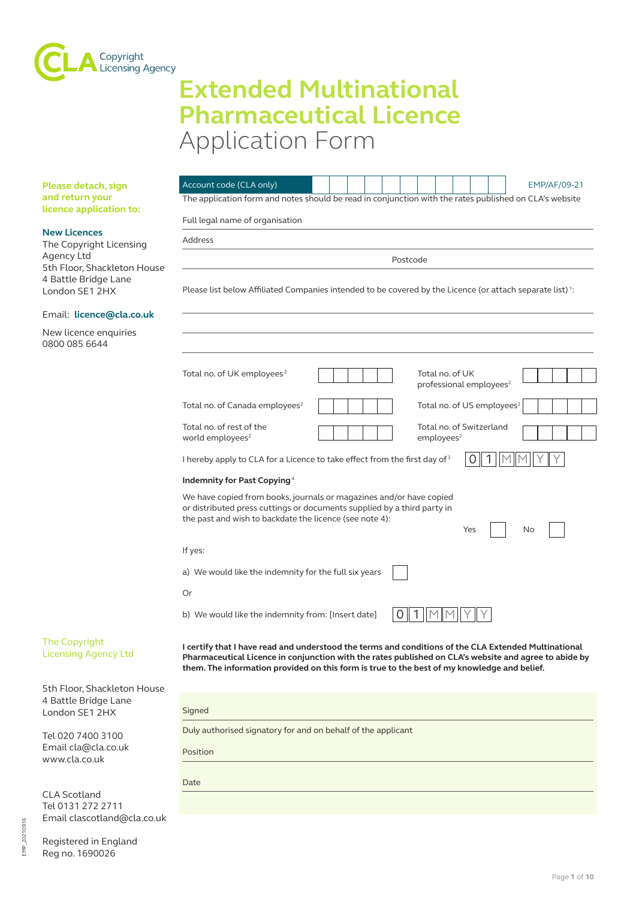

# **Extended Multinational Pharmaceutical Licence** Application Form

**Please detach, sign and return your licence application to:**

# **New Licences**

The Copyright Licensir Agency Ltd 5th Floor, Shackleton 4 Battle Bridge Lane London SE1 2HX

Email: **licence@cla.co** 

New licence enquiries 0800 085 6644

|          | Account code (CLA only)<br>EMP/AF/09-21                                                                                                                                                                                                                                                                      |  |  |  |
|----------|--------------------------------------------------------------------------------------------------------------------------------------------------------------------------------------------------------------------------------------------------------------------------------------------------------------|--|--|--|
|          | The application form and notes should be read in conjunction with the rates published on CLA's website                                                                                                                                                                                                       |  |  |  |
|          | Full legal name of organisation                                                                                                                                                                                                                                                                              |  |  |  |
|          | Address                                                                                                                                                                                                                                                                                                      |  |  |  |
| Postcode |                                                                                                                                                                                                                                                                                                              |  |  |  |
|          | Please list below Affiliated Companies intended to be covered by the Licence (or attach separate list) <sup>1</sup> :                                                                                                                                                                                        |  |  |  |
|          | Total no. of UK employees <sup>2</sup><br>Total no. of UK<br>professional employees <sup>2</sup>                                                                                                                                                                                                             |  |  |  |
|          | Total no. of Canada employees <sup>2</sup><br>Total no. of US employees <sup>2</sup>                                                                                                                                                                                                                         |  |  |  |
|          | Total no. of rest of the<br>Total no. of Switzerland<br>world employees <sup>2</sup><br>employees <sup>2</sup>                                                                                                                                                                                               |  |  |  |
|          | I hereby apply to CLA for a Licence to take effect from the first day of 3                                                                                                                                                                                                                                   |  |  |  |
|          | Indemnity for Past Copying <sup>4</sup>                                                                                                                                                                                                                                                                      |  |  |  |
|          | We have copied from books, journals or magazines and/or have copied<br>or distributed press cuttings or documents supplied by a third party in<br>the past and wish to backdate the licence (see note 4):<br>Yes<br>No                                                                                       |  |  |  |
|          | If yes:                                                                                                                                                                                                                                                                                                      |  |  |  |
|          | a) We would like the indemnity for the full six years                                                                                                                                                                                                                                                        |  |  |  |
| Or       |                                                                                                                                                                                                                                                                                                              |  |  |  |
|          | b) We would like the indemnity from: [Insert date]                                                                                                                                                                                                                                                           |  |  |  |
|          | I certify that I have read and understood the terms and conditions of the CLA Extended Multinational<br>Pharmaceutical Licence in conjunction with the rates published on CLA's website and agree to abide by<br>them. The information provided on this form is true to the best of my knowledge and belief. |  |  |  |
|          |                                                                                                                                                                                                                                                                                                              |  |  |  |
|          | Signed                                                                                                                                                                                                                                                                                                       |  |  |  |
|          | Duly authorised signatory for and on behalf of the applicant                                                                                                                                                                                                                                                 |  |  |  |

Tel 020 7400 3100 Email cla@cla.co.uk www.cla.co.uk

The Copyright Licensing Agency Ltd

5th Floor, Shackleton 4 Battle Bridge Lane London SE1 2HX

Date

CLA Scotland Tel 0131 272 2711 Email clascotland@cla.co.uk

Registered in England Reg no. 1690026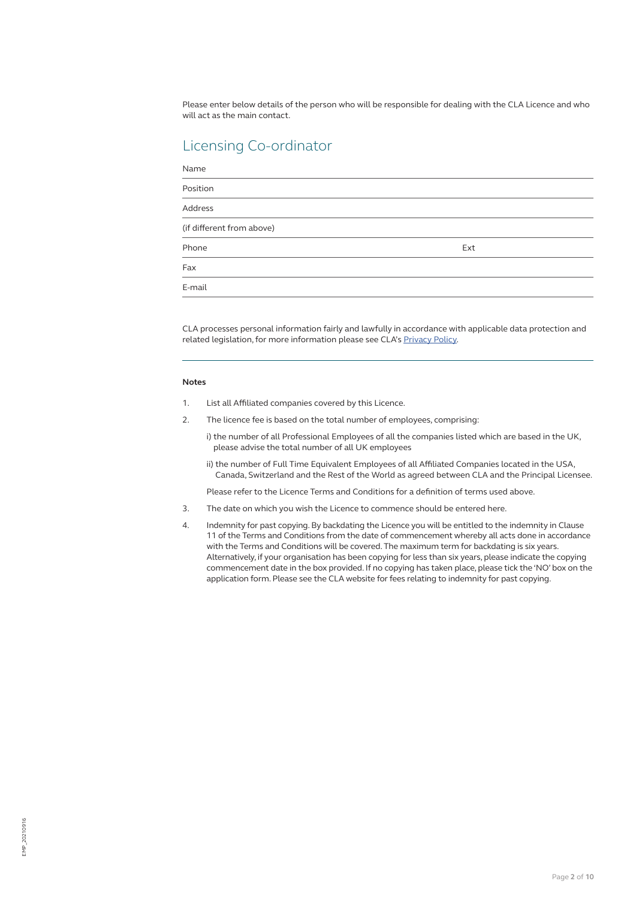Please enter below details of the person who will be responsible for dealing with the CLA Licence and who will act as the main contact.

# Licensing Co-ordinator

| Name                      |     |  |
|---------------------------|-----|--|
| Position                  |     |  |
| <b>Address</b>            |     |  |
| (if different from above) |     |  |
| Phone                     | Ext |  |
| Fax                       |     |  |
| E-mail                    |     |  |

CLA processes personal information fairly and lawfully in accordance with applicable data protection and related legislation, for more information please see CLA's [Privacy Policy](https://cla.co.uk/privacy-policy).

# **Notes**

- 1. List all Affiliated companies covered by this Licence.
- 2. The licence fee is based on the total number of employees, comprising:
	- i) the number of all Professional Employees of all the companies listed which are based in the UK, please advise the total number of all UK employees
	- ii) the number of Full Time Equivalent Employees of all Affiliated Companies located in the USA, Canada, Switzerland and the Rest of the World as agreed between CLA and the Principal Licensee.

Please refer to the Licence Terms and Conditions for a definition of terms used above.

- 3. The date on which you wish the Licence to commence should be entered here.
- 4. Indemnity for past copying. By backdating the Licence you will be entitled to the indemnity in Clause 11 of the Terms and Conditions from the date of commencement whereby all acts done in accordance with the Terms and Conditions will be covered. The maximum term for backdating is six years. Alternatively, if your organisation has been copying for less than six years, please indicate the copying commencement date in the box provided. If no copying has taken place, please tick the 'NO' box on the application form. Please see the CLA website for fees relating to indemnity for past copying.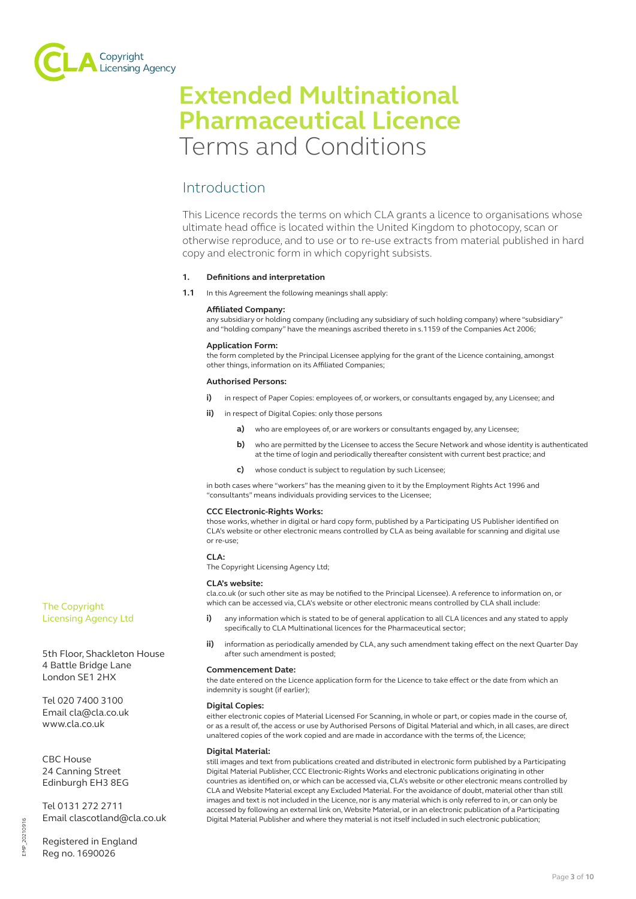

# **Extended Multinational Pharmaceutical Licence** Terms and Conditions

# Introduction

This Licence records the terms on which CLA grants a licence to organisations whose ultimate head office is located within the United Kingdom to photocopy, scan or otherwise reproduce, and to use or to re-use extracts from material published in hard copy and electronic form in which copyright subsists.

# **1. Definitions and interpretation**

**1.1** In this Agreement the following meanings shall apply:

# **Affiliated Company:**

any subsidiary or holding company (including any subsidiary of such holding company) where "subsidiary" and "holding company" have the meanings ascribed thereto in s.1159 of the Companies Act 2006;

# **Application Form:**

the form completed by the Principal Licensee applying for the grant of the Licence containing, amongst other things, information on its Affiliated Companies;

# **Authorised Persons:**

- **i)** in respect of Paper Copies: employees of, or workers, or consultants engaged by, any Licensee; and
- **ii)** in respect of Digital Copies: only those persons
	- **a)** who are employees of, or are workers or consultants engaged by, any Licensee;
	- **b)** who are permitted by the Licensee to access the Secure Network and whose identity is authenticated at the time of login and periodically thereafter consistent with current best practice; and
	- **c)** whose conduct is subject to regulation by such Licensee;

in both cases where "workers" has the meaning given to it by the Employment Rights Act 1996 and "consultants" means individuals providing services to the Licensee;

# **CCC Electronic-Rights Works:**

those works, whether in digital or hard copy form, published by a Participating US Publisher identified on CLA's website or other electronic means controlled by CLA as being available for scanning and digital use or re-use;

# **CLA:**

The Copyright Licensing Agency Ltd;

#### **CLA's website:**

cla.co.uk (or such other site as may be notified to the Principal Licensee). A reference to information on, or which can be accessed via, CLA's website or other electronic means controlled by CLA shall include:

- **i)** any information which is stated to be of general application to all CLA licences and any stated to apply specifically to CLA Multinational licences for the Pharmaceutical sector;
- **ii)** information as periodically amended by CLA, any such amendment taking effect on the next Quarter Day after such amendment is posted;

#### **Commencement Date:**

the date entered on the Licence application form for the Licence to take effect or the date from which an indemnity is sought (if earlier);

# **Digital Copies:**

either electronic copies of Material Licensed For Scanning, in whole or part, or copies made in the course of, or as a result of, the access or use by Authorised Persons of Digital Material and which, in all cases, are direct unaltered copies of the work copied and are made in accordance with the terms of, the Licence;

# **Digital Material:**

still images and text from publications created and distributed in electronic form published by a Participating Digital Material Publisher, CCC Electronic-Rights Works and electronic publications originating in other countries as identified on, or which can be accessed via, CLA's website or other electronic means controlled by CLA and Website Material except any Excluded Material. For the avoidance of doubt, material other than still images and text is not included in the Licence, nor is any material which is only referred to in, or can only be accessed by following an external link on, Website Material, or in an electronic publication of a Participating Digital Material Publisher and where they material is not itself included in such electronic publication;

The Copyright Licensing Agency Ltd

5th Floor, Shackleton House 4 Battle Bridge Lane London SE1 2HX

Tel 020 7400 3100 Email cla@cla.co.uk www.cla.co.uk

CBC House 24 Canning Street Edinburgh EH3 8EG

Tel 0131 272 2711 Email clascotland@cla.co.uk

Registered in England Reg no. 1690026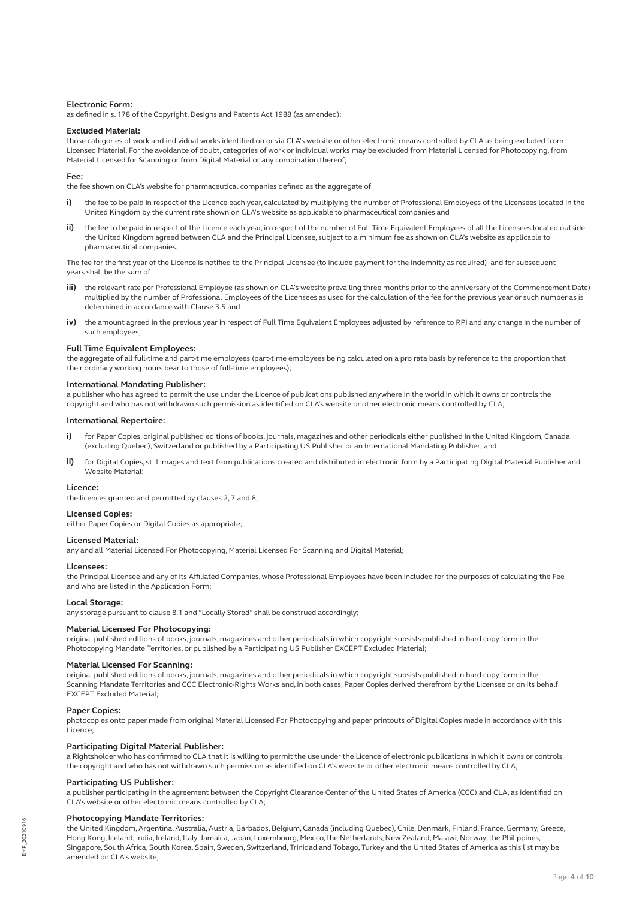#### **Electronic Form:**

as defined in s. 178 of the Copyright, Designs and Patents Act 1988 (as amended);

#### **Excluded Material:**

those categories of work and individual works identified on or via CLA's website or other electronic means controlled by CLA as being excluded from Licensed Material. For the avoidance of doubt, categories of work or individual works may be excluded from Material Licensed for Photocopying, from Material Licensed for Scanning or from Digital Material or any combination thereof;

#### **Fee:**

the fee shown on CLA's website for pharmaceutical companies defined as the aggregate of

- **i)** the fee to be paid in respect of the Licence each year, calculated by multiplying the number of Professional Employees of the Licensees located in the United Kingdom by the current rate shown on CLA's website as applicable to pharmaceutical companies and
- **ii)** the fee to be paid in respect of the Licence each year, in respect of the number of Full Time Equivalent Employees of all the Licensees located outside the United Kingdom agreed between CLA and the Principal Licensee, subject to a minimum fee as shown on CLA's website as applicable to pharmaceutical companies.

The fee for the first year of the Licence is notified to the Principal Licensee (to include payment for the indemnity as required) and for subsequent years shall be the sum of

- **iii)** the relevant rate per Professional Employee (as shown on CLA's website prevailing three months prior to the anniversary of the Commencement Date) multiplied by the number of Professional Employees of the Licensees as used for the calculation of the fee for the previous year or such number as is determined in accordance with Clause 3.5 and
- **iv)** the amount agreed in the previous year in respect of Full Time Equivalent Employees adjusted by reference to RPI and any change in the number of such employees;

# **Full Time Equivalent Employees:**

the aggregate of all full-time and part-time employees (part-time employees being calculated on a pro rata basis by reference to the proportion that their ordinary working hours bear to those of full-time employees);

# **International Mandating Publisher:**

a publisher who has agreed to permit the use under the Licence of publications published anywhere in the world in which it owns or controls the copyright and who has not withdrawn such permission as identified on CLA's website or other electronic means controlled by CLA;

#### **International Repertoire:**

- i) for Paper Copies, original published editions of books, journals, magazines and other periodicals either published in the United Kingdom, Canada (excluding Quebec), Switzerland or published by a Participating US Publisher or an International Mandating Publisher; and
- for Digital Copies, still images and text from publications created and distributed in electronic form by a Participating Digital Material Publisher and Website Material;

#### **Licence:**

the licences granted and permitted by clauses 2, 7 and 8;

#### **Licensed Copies:**

either Paper Copies or Digital Copies as appropriate;

#### **Licensed Material:**

any and all Material Licensed For Photocopying, Material Licensed For Scanning and Digital Material;

#### **Licensees:**

the Principal Licensee and any of its Affiliated Companies, whose Professional Employees have been included for the purposes of calculating the Fee and who are listed in the Application Form;

### **Local Storage:**

any storage pursuant to clause 8.1 and "Locally Stored" shall be construed accordingly;

# **Material Licensed For Photocopying:**

original published editions of books, journals, magazines and other periodicals in which copyright subsists published in hard copy form in the Photocopying Mandate Territories, or published by a Participating US Publisher EXCEPT Excluded Material;

#### **Material Licensed For Scanning:**

original published editions of books, journals, magazines and other periodicals in which copyright subsists published in hard copy form in the Scanning Mandate Territories and CCC Electronic-Rights Works and, in both cases, Paper Copies derived therefrom by the Licensee or on its behalf EXCEPT Excluded Material;

### **Paper Copies:**

photocopies onto paper made from original Material Licensed For Photocopying and paper printouts of Digital Copies made in accordance with this Licence;

#### **Participating Digital Material Publisher:**

a Rightsholder who has confirmed to CLA that it is willing to permit the use under the Licence of electronic publications in which it owns or controls the copyright and who has not withdrawn such permission as identified on CLA's website or other electronic means controlled by CLA;

#### **Participating US Publisher:**

a publisher participating in the agreement between the Copyright Clearance Center of the United States of America (CCC) and CLA, as identified on CLA's website or other electronic means controlled by CLA;

#### **Photocopying Mandate Territories:**

the United Kingdom, Argentina, Australia, Austria, Barbados, Belgium, Canada (including Quebec), Chile, Denmark, Finland, France, Germany, Greece, Hong Kong, Iceland, India, Ireland, Italy, Jamaica, Japan, Luxembourg, Mexico, the Netherlands, New Zealand, Malawi, Norway, the Philippines, Singapore, South Africa, South Korea, Spain, Sweden, Switzerland, Trinidad and Tobago, Turkey and the United States of America as this list may be amended on CLA's website;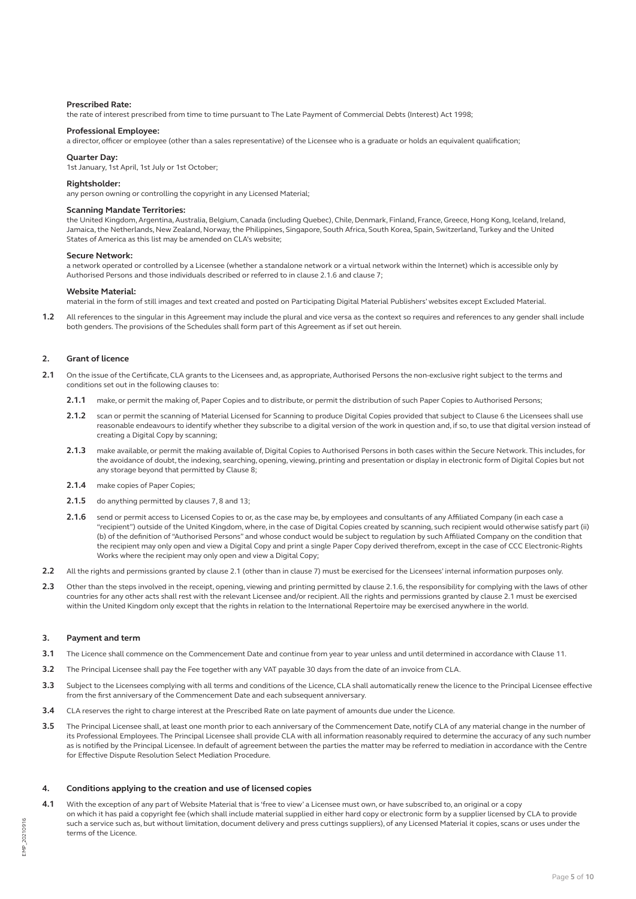#### **Prescribed Rate:**

the rate of interest prescribed from time to time pursuant to The Late Payment of Commercial Debts (Interest) Act 1998;

#### **Professional Employee:**

a director, officer or employee (other than a sales representative) of the Licensee who is a graduate or holds an equivalent qualification;

### **Quarter Day:**

1st January, 1st April, 1st July or 1st October;

#### **Rightsholder:**

any person owning or controlling the copyright in any Licensed Material;

#### **Scanning Mandate Territories:**

the United Kingdom, Argentina, Australia, Belgium, Canada (including Quebec), Chile, Denmark, Finland, France, Greece, Hong Kong, Iceland, Ireland, Jamaica, the Netherlands, New Zealand, Norway, the Philippines, Singapore, South Africa, South Korea, Spain, Switzerland, Turkey and the United States of America as this list may be amended on CLA's website;

#### **Secure Network:**

a network operated or controlled by a Licensee (whether a standalone network or a virtual network within the Internet) which is accessible only by Authorised Persons and those individuals described or referred to in clause 2.1.6 and clause 7;

#### **Website Material:**

material in the form of still images and text created and posted on Participating Digital Material Publishers' websites except Excluded Material.

**1.2** All references to the singular in this Agreement may include the plural and vice versa as the context so requires and references to any gender shall include both genders. The provisions of the Schedules shall form part of this Agreement as if set out herein.

#### **2. Grant of licence**

- **2.1** On the issue of the Certificate, CLA grants to the Licensees and, as appropriate, Authorised Persons the non-exclusive right subject to the terms and conditions set out in the following clauses to:
	- **2.1.1** make, or permit the making of, Paper Copies and to distribute, or permit the distribution of such Paper Copies to Authorised Persons;
	- **2.1.2** scan or permit the scanning of Material Licensed for Scanning to produce Digital Copies provided that subject to Clause 6 the Licensees shall use reasonable endeavours to identify whether they subscribe to a digital version of the work in question and, if so, to use that digital version instead of creating a Digital Copy by scanning;
	- **2.1.3** make available, or permit the making available of, Digital Copies to Authorised Persons in both cases within the Secure Network. This includes, for the avoidance of doubt, the indexing, searching, opening, viewing, printing and presentation or display in electronic form of Digital Copies but not any storage beyond that permitted by Clause 8;
	- **2.1.4** make copies of Paper Copies;
	- **2.1.5** do anything permitted by clauses 7, 8 and 13;
	- **2.1.6** send or permit access to Licensed Copies to or, as the case may be, by employees and consultants of any Affiliated Company (in each case a "recipient") outside of the United Kingdom, where, in the case of Digital Copies created by scanning, such recipient would otherwise satisfy part (ii) (b) of the definition of "Authorised Persons" and whose conduct would be subject to regulation by such Affiliated Company on the condition that the recipient may only open and view a Digital Copy and print a single Paper Copy derived therefrom, except in the case of CCC Electronic-Rights Works where the recipient may only open and view a Digital Copy;
- **2.2** All the rights and permissions granted by clause 2.1 (other than in clause 7) must be exercised for the Licensees' internal information purposes only.
- **2.3** Other than the steps involved in the receipt, opening, viewing and printing permitted by clause 2.1.6, the responsibility for complying with the laws of other countries for any other acts shall rest with the relevant Licensee and/or recipient. All the rights and permissions granted by clause 2.1 must be exercised within the United Kingdom only except that the rights in relation to the International Repertoire may be exercised anywhere in the world.

# **3. Payment and term**

- **3.1** The Licence shall commence on the Commencement Date and continue from year to year unless and until determined in accordance with Clause 11.
- **3.2** The Principal Licensee shall pay the Fee together with any VAT payable 30 days from the date of an invoice from CLA.
- **3.3** Subject to the Licensees complying with all terms and conditions of the Licence, CLA shall automatically renew the licence to the Principal Licensee effective from the first anniversary of the Commencement Date and each subsequent anniversary.
- **3.4** CLA reserves the right to charge interest at the Prescribed Rate on late payment of amounts due under the Licence.
- **3.5** The Principal Licensee shall, at least one month prior to each anniversary of the Commencement Date, notify CLA of any material change in the number of its Professional Employees. The Principal Licensee shall provide CLA with all information reasonably required to determine the accuracy of any such number as is notified by the Principal Licensee. In default of agreement between the parties the matter may be referred to mediation in accordance with the Centre for Effective Dispute Resolution Select Mediation Procedure.

# **4. Conditions applying to the creation and use of licensed copies**

**4.1** With the exception of any part of Website Material that is 'free to view' a Licensee must own, or have subscribed to, an original or a copy on which it has paid a copyright fee (which shall include material supplied in either hard copy or electronic form by a supplier licensed by CLA to provide such a service such as, but without limitation, document delivery and press cuttings suppliers), of any Licensed Material it copies, scans or uses under the terms of the Licence.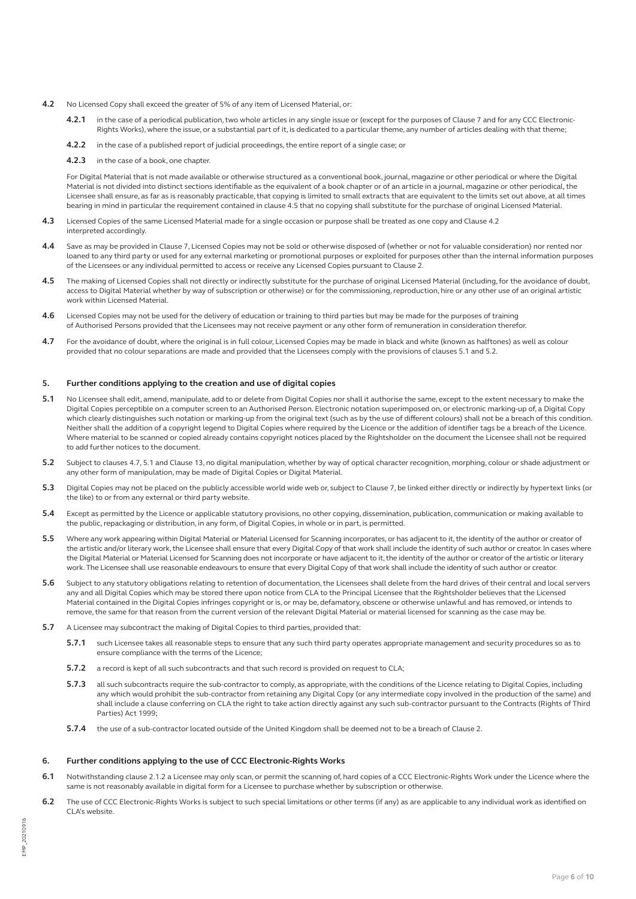- **4.2** No Licensed Copy shall exceed the greater of 5% of any item of Licensed Material, or:
	- **4.2.1** in the case of a periodical publication, two whole articles in any single issue or (except for the purposes of Clause 7 and for any CCC Electronic-Rights Works), where the issue, or a substantial part of it, is dedicated to a particular theme, any number of articles dealing with that theme;
	- **4.2.2** in the case of a published report of judicial proceedings, the entire report of a single case; or
	- **4.2.3** in the case of a book, one chapter.

For Digital Material that is not made available or otherwise structured as a conventional book, journal, magazine or other periodical or where the Digital Material is not divided into distinct sections identifiable as the equivalent of a book chapter or of an article in a journal, magazine or other periodical, the Licensee shall ensure, as far as is reasonably practicable, that copying is limited to small extracts that are equivalent to the limits set out above, at all times bearing in mind in particular the requirement contained in clause 4.5 that no copying shall substitute for the purchase of original Licensed Material.

- **4.3** Licensed Copies of the same Licensed Material made for a single occasion or purpose shall be treated as one copy and Clause 4.2 interpreted accordingly.
- **4.4** Save as may be provided in Clause 7, Licensed Copies may not be sold or otherwise disposed of (whether or not for valuable consideration) nor rented nor loaned to any third party or used for any external marketing or promotional purposes or exploited for purposes other than the internal information purposes of the Licensees or any individual permitted to access or receive any Licensed Copies pursuant to Clause 2.
- **4.5** The making of Licensed Copies shall not directly or indirectly substitute for the purchase of original Licensed Material (including, for the avoidance of doubt, access to Digital Material whether by way of subscription or otherwise) or for the commissioning, reproduction, hire or any other use of an original artistic work within Licensed Material.
- **4.6** Licensed Copies may not be used for the delivery of education or training to third parties but may be made for the purposes of training of Authorised Persons provided that the Licensees may not receive payment or any other form of remuneration in consideration therefor.
- **4.7** For the avoidance of doubt, where the original is in full colour, Licensed Copies may be made in black and white (known as halftones) as well as colour provided that no colour separations are made and provided that the Licensees comply with the provisions of clauses 5.1 and 5.2.

# **5. Further conditions applying to the creation and use of digital copies**

- **5.1** No Licensee shall edit, amend, manipulate, add to or delete from Digital Copies nor shall it authorise the same, except to the extent necessary to make the Digital Copies perceptible on a computer screen to an Authorised Person. Electronic notation superimposed on, or electronic marking-up of, a Digital Copy which clearly distinguishes such notation or marking-up from the original text (such as by the use of different colours) shall not be a breach of this condition. Neither shall the addition of a copyright legend to Digital Copies where required by the Licence or the addition of identifier tags be a breach of the Licence. Where material to be scanned or copied already contains copyright notices placed by the Rightsholder on the document the Licensee shall not be required to add further notices to the document.
- **5.2** Subject to clauses 4.7, 5.1 and Clause 13, no digital manipulation, whether by way of optical character recognition, morphing, colour or shade adjustment or any other form of manipulation, may be made of Digital Copies or Digital Material.
- **5.3** Digital Copies may not be placed on the publicly accessible world wide web or, subject to Clause 7, be linked either directly or indirectly by hypertext links (or the like) to or from any external or third party website.
- **5.4** Except as permitted by the Licence or applicable statutory provisions, no other copying, dissemination, publication, communication or making available to the public, repackaging or distribution, in any form, of Digital Copies, in whole or in part, is permitted.
- **5.5** Where any work appearing within Digital Material or Material Licensed for Scanning incorporates, or has adjacent to it, the identity of the author or creator of the artistic and/or literary work, the Licensee shall ensure that every Digital Copy of that work shall include the identity of such author or creator. In cases where the Digital Material or Material Licensed for Scanning does not incorporate or have adjacent to it, the identity of the author or creator of the artistic or literary work. The Licensee shall use reasonable endeavours to ensure that every Digital Copy of that work shall include the identity of such author or creator.
- **5.6** Subject to any statutory obligations relating to retention of documentation, the Licensees shall delete from the hard drives of their central and local servers any and all Digital Copies which may be stored there upon notice from CLA to the Principal Licensee that the Rightsholder believes that the Licensed Material contained in the Digital Copies infringes copyright or is, or may be, defamatory, obscene or otherwise unlawful and has removed, or intends to remove, the same for that reason from the current version of the relevant Digital Material or material licensed for scanning as the case may be.
- **5.7** A Licensee may subcontract the making of Digital Copies to third parties, provided that:
	- **5.7.1** such Licensee takes all reasonable steps to ensure that any such third party operates appropriate management and security procedures so as to ensure compliance with the terms of the Licence;
	- **5.7.2** a record is kept of all such subcontracts and that such record is provided on request to CLA;
	- **5.7.3** all such subcontracts require the sub-contractor to comply, as appropriate, with the conditions of the Licence relating to Digital Copies, including any which would prohibit the sub-contractor from retaining any Digital Copy (or any intermediate copy involved in the production of the same) and shall include a clause conferring on CLA the right to take action directly against any such sub-contractor pursuant to the Contracts (Rights of Third Parties) Act 1999;
	- **5.7.4** the use of a sub-contractor located outside of the United Kingdom shall be deemed not to be a breach of Clause 2.

#### **6. Further conditions applying to the use of CCC Electronic-Rights Works**

- **6.1** Notwithstanding clause 2.1.2 a Licensee may only scan, or permit the scanning of, hard copies of a CCC Electronic-Rights Work under the Licence where the same is not reasonably available in digital form for a Licensee to purchase whether by subscription or otherwise.
- **6.2** The use of CCC Electronic-Rights Works is subject to such special limitations or other terms (if any) as are applicable to any individual work as identified on CLA's website.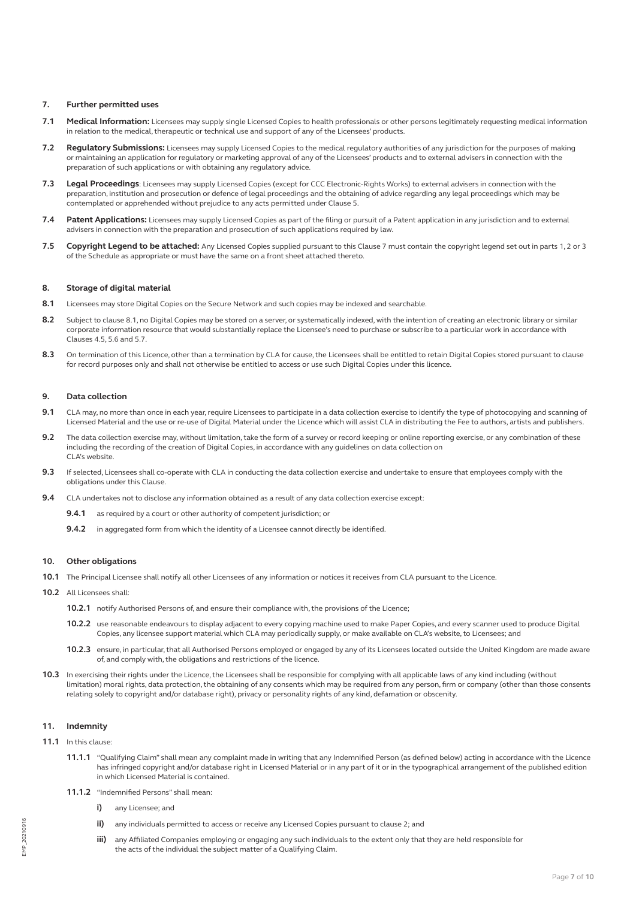# **7. Further permitted uses**

- **7.1 Medical Information:** Licensees may supply single Licensed Copies to health professionals or other persons legitimately requesting medical information in relation to the medical, therapeutic or technical use and support of any of the Licensees' products.
- **7.2 Regulatory Submissions:** Licensees may supply Licensed Copies to the medical regulatory authorities of any jurisdiction for the purposes of making or maintaining an application for regulatory or marketing approval of any of the Licensees' products and to external advisers in connection with the preparation of such applications or with obtaining any regulatory advice.
- **7.3 Legal Proceedings**: Licensees may supply Licensed Copies (except for CCC Electronic-Rights Works) to external advisers in connection with the preparation, institution and prosecution or defence of legal proceedings and the obtaining of advice regarding any legal proceedings which may be contemplated or apprehended without prejudice to any acts permitted under Clause 5.
- **7.4 Patent Applications:** Licensees may supply Licensed Copies as part of the filing or pursuit of a Patent application in any jurisdiction and to external advisers in connection with the preparation and prosecution of such applications required by law.
- **7.5 Copyright Legend to be attached:** Any Licensed Copies supplied pursuant to this Clause 7 must contain the copyright legend set out in parts 1, 2 or 3 of the Schedule as appropriate or must have the same on a front sheet attached thereto.

# **8. Storage of digital material**

- **8.1** Licensees may store Digital Copies on the Secure Network and such copies may be indexed and searchable.
- **8.2** Subject to clause 8.1, no Digital Copies may be stored on a server, or systematically indexed, with the intention of creating an electronic library or similar corporate information resource that would substantially replace the Licensee's need to purchase or subscribe to a particular work in accordance with Clauses 4.5, 5.6 and 5.7.
- 8.3 On termination of this Licence, other than a termination by CLA for cause, the Licensees shall be entitled to retain Digital Copies stored pursuant to clause for record purposes only and shall not otherwise be entitled to access or use such Digital Copies under this licence.

# **9. Data collection**

- **9.1** CLA may, no more than once in each year, require Licensees to participate in a data collection exercise to identify the type of photocopying and scanning of Licensed Material and the use or re-use of Digital Material under the Licence which will assist CLA in distributing the Fee to authors, artists and publishers.
- **9.2** The data collection exercise may, without limitation, take the form of a survey or record keeping or online reporting exercise, or any combination of these including the recording of the creation of Digital Copies, in accordance with any guidelines on data collection on CLA's website.
- **9.3** If selected, Licensees shall co-operate with CLA in conducting the data collection exercise and undertake to ensure that employees comply with the obligations under this Clause.
- **9.4** CLA undertakes not to disclose any information obtained as a result of any data collection exercise except:
	- **9.4.1** as required by a court or other authority of competent jurisdiction; or
	- **9.4.2** in aggregated form from which the identity of a Licensee cannot directly be identified.

### **10. Other obligations**

- **10.1** The Principal Licensee shall notify all other Licensees of any information or notices it receives from CLA pursuant to the Licence.
- **10.2** All Licensees shall:
	- **10.2.1** notify Authorised Persons of, and ensure their compliance with, the provisions of the Licence;
	- **10.2.2** use reasonable endeavours to display adjacent to every copying machine used to make Paper Copies, and every scanner used to produce Digital Copies, any licensee support material which CLA may periodically supply, or make available on CLA's website, to Licensees; and
	- **10.2.3** ensure, in particular, that all Authorised Persons employed or engaged by any of its Licensees located outside the United Kingdom are made aware of, and comply with, the obligations and restrictions of the licence.
- 10.3 In exercising their rights under the Licence, the Licensees shall be responsible for complying with all applicable laws of any kind including (without limitation) moral rights, data protection, the obtaining of any consents which may be required from any person, firm or company (other than those consents relating solely to copyright and/or database right), privacy or personality rights of any kind, defamation or obscenity.

# **11. Indemnity**

- **11.1** In this clause:
	- **11.1.1** "Qualifying Claim" shall mean any complaint made in writing that any Indemnified Person (as defined below) acting in accordance with the Licence has infringed copyright and/or database right in Licensed Material or in any part of it or in the typographical arrangement of the published edition in which Licensed Material is contained.
	- **11.1.2** "Indemnified Persons" shall mean:
		- **i)** any Licensee; and
		- **ii)** any individuals permitted to access or receive any Licensed Copies pursuant to clause 2; and
		- **iii)** any Affiliated Companies employing or engaging any such individuals to the extent only that they are held responsible for the acts of the individual the subject matter of a Qualifying Claim.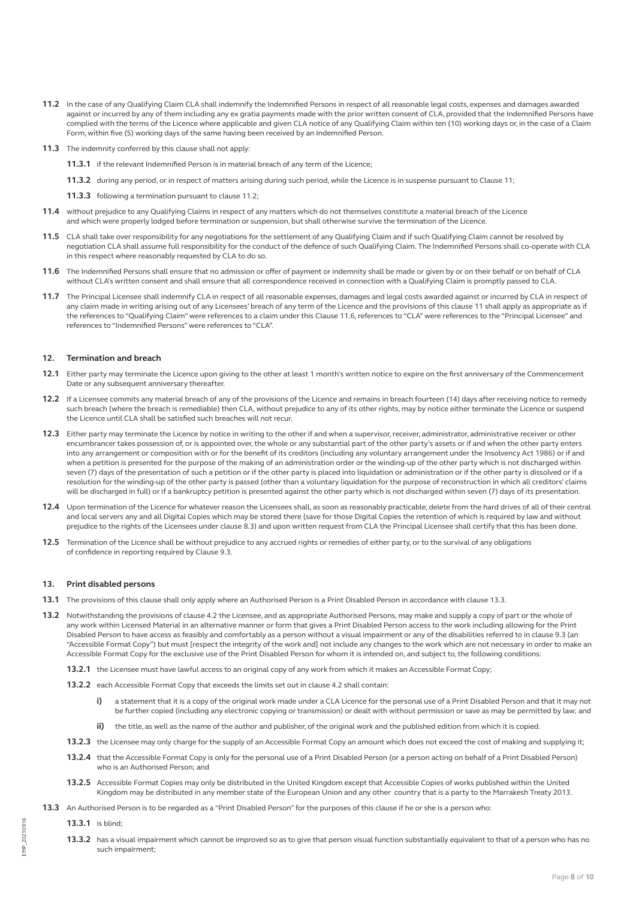- **11.2** In the case of any Qualifying Claim CLA shall indemnify the Indemnified Persons in respect of all reasonable legal costs, expenses and damages awarded against or incurred by any of them including any ex gratia payments made with the prior written consent of CLA, provided that the Indemnified Persons have complied with the terms of the Licence where applicable and given CLA notice of any Qualifying Claim within ten (10) working days or, in the case of a Claim Form, within five (5) working days of the same having been received by an Indemnified Person.
- **11.3** The indemnity conferred by this clause shall not apply:
	- **11.3.1** if the relevant Indemnified Person is in material breach of any term of the Licence;
	- **11.3.2** during any period, or in respect of matters arising during such period, while the Licence is in suspense pursuant to Clause 11;

**11.3.3** following a termination pursuant to clause 11.2;

- **11.4** without prejudice to any Qualifying Claims in respect of any matters which do not themselves constitute a material breach of the Licence and which were properly lodged before termination or suspension, but shall otherwise survive the termination of the Licence.
- **11.5** CLA shall take over responsibility for any negotiations for the settlement of any Qualifying Claim and if such Qualifying Claim cannot be resolved by negotiation CLA shall assume full responsibility for the conduct of the defence of such Qualifying Claim. The Indemnified Persons shall co-operate with CLA in this respect where reasonably requested by CLA to do so.
- **11.6** The Indemnified Persons shall ensure that no admission or offer of payment or indemnity shall be made or given by or on their behalf or on behalf of CLA without CLA's written consent and shall ensure that all correspondence received in connection with a Qualifying Claim is promptly passed to CLA.
- **11.7** The Principal Licensee shall indemnify CLA in respect of all reasonable expenses, damages and legal costs awarded against or incurred by CLA in respect of any claim made in writing arising out of any Licensees' breach of any term of the Licence and the provisions of this clause 11 shall apply as appropriate as if the references to "Qualifying Claim" were references to a claim under this Clause 11.6, references to "CLA" were references to the "Principal Licensee" and references to "Indemnified Persons" were references to "CLA".

#### **12. Termination and breach**

- **12.1** Either party may terminate the Licence upon giving to the other at least 1 month's written notice to expire on the first anniversary of the Commencement Date or any subsequent anniversary thereafter
- **12.2** If a Licensee commits any material breach of any of the provisions of the Licence and remains in breach fourteen (14) days after receiving notice to remedy such breach (where the breach is remediable) then CLA, without prejudice to any of its other rights, may by notice either terminate the Licence or suspend the Licence until CLA shall be satisfied such breaches will not recur.
- **12.3** Either party may terminate the Licence by notice in writing to the other if and when a supervisor, receiver, administrator, administrative receiver or other encumbrancer takes possession of, or is appointed over, the whole or any substantial part of the other party's assets or if and when the other party enters into any arrangement or composition with or for the benefit of its creditors (including any voluntary arrangement under the Insolvency Act 1986) or if and when a petition is presented for the purpose of the making of an administration order or the winding-up of the other party which is not discharged within seven (7) days of the presentation of such a petition or if the other party is placed into liquidation or administration or if the other party is dissolved or if a resolution for the winding-up of the other party is passed (other than a voluntary liquidation for the purpose of reconstruction in which all creditors' claims will be discharged in full) or if a bankruptcy petition is presented against the other party which is not discharged within seven (7) days of its presentation.
- **12.4** Upon termination of the Licence for whatever reason the Licensees shall, as soon as reasonably practicable, delete from the hard drives of all of their central and local servers any and all Digital Copies which may be stored there (save for those Digital Copies the retention of which is required by law and without prejudice to the rights of the Licensees under clause 8.3) and upon written request from CLA the Principal Licensee shall certify that this has been done.
- **12.5** Termination of the Licence shall be without prejudice to any accrued rights or remedies of either party, or to the survival of any obligations of confidence in reporting required by Clause 9.3.

#### **13. Print disabled persons**

- **13.1** The provisions of this clause shall only apply where an Authorised Person is a Print Disabled Person in accordance with clause 13.3.
- **13.2** Notwithstanding the provisions of clause 4.2 the Licensee, and as appropriate Authorised Persons, may make and supply a copy of part or the whole of any work within Licensed Material in an alternative manner or form that gives a Print Disabled Person access to the work including allowing for the Print Disabled Person to have access as feasibly and comfortably as a person without a visual impairment or any of the disabilities referred to in clause 9.3 (an "Accessible Format Copy") but must [respect the integrity of the work and] not include any changes to the work which are not necessary in order to make an Accessible Format Copy for the exclusive use of the Print Disabled Person for whom it is intended on, and subject to, the following conditions:
	- **13.2.1** the Licensee must have lawful access to an original copy of any work from which it makes an Accessible Format Copy;
	- **13.2.2** each Accessible Format Copy that exceeds the limits set out in clause 4.2 shall contain:
		- **i)** a statement that it is a copy of the original work made under a CLA Licence for the personal use of a Print Disabled Person and that it may not be further copied (including any electronic copying or transmission) or dealt with without permission or save as may be permitted by law; and
		- **ii)** the title, as well as the name of the author and publisher, of the original work and the published edition from which it is copied.
	- **13.2.3** the Licensee may only charge for the supply of an Accessible Format Copy an amount which does not exceed the cost of making and supplying it;
	- **13.2.4** that the Accessible Format Copy is only for the personal use of a Print Disabled Person (or a person acting on behalf of a Print Disabled Person) who is an Authorised Person; and
	- **13.2.5** Accessible Format Copies may only be distributed in the United Kingdom except that Accessible Copies of works published within the United Kingdom may be distributed in any member state of the European Union and any other country that is a party to the Marrakesh Treaty 2013.
- **13.3** An Authorised Person is to be regarded as a "Print Disabled Person" for the purposes of this clause if he or she is a person who:

**13.3.1** is blind;

**13.3.2** has a visual impairment which cannot be improved so as to give that person visual function substantially equivalent to that of a person who has no such impairment;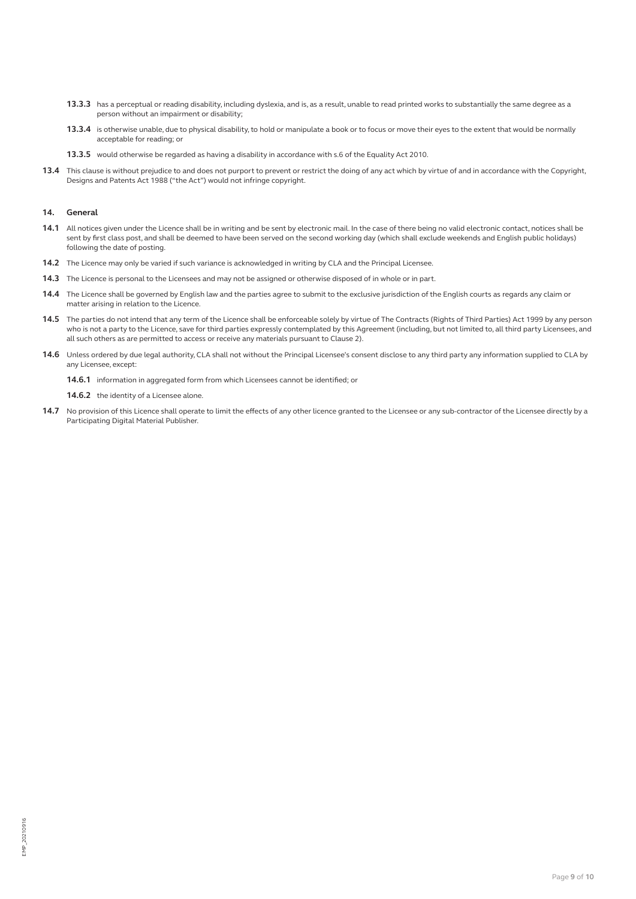- **13.3.3** has a perceptual or reading disability, including dyslexia, and is, as a result, unable to read printed works to substantially the same degree as a person without an impairment or disability;
- **13.3.4** is otherwise unable, due to physical disability, to hold or manipulate a book or to focus or move their eyes to the extent that would be normally acceptable for reading; or
- **13.3.5** would otherwise be regarded as having a disability in accordance with s.6 of the Equality Act 2010.
- **13.4** This clause is without prejudice to and does not purport to prevent or restrict the doing of any act which by virtue of and in accordance with the Copyright, Designs and Patents Act 1988 ("the Act") would not infringe copyright.

### **14. General**

- **14.1** All notices given under the Licence shall be in writing and be sent by electronic mail. In the case of there being no valid electronic contact, notices shall be sent by first class post, and shall be deemed to have been served on the second working day (which shall exclude weekends and English public holidays) following the date of posting.
- **14.2** The Licence may only be varied if such variance is acknowledged in writing by CLA and the Principal Licensee.
- **14.3** The Licence is personal to the Licensees and may not be assigned or otherwise disposed of in whole or in part.
- **14.4** The Licence shall be governed by English law and the parties agree to submit to the exclusive jurisdiction of the English courts as regards any claim or matter arising in relation to the Licence.
- **14.5** The parties do not intend that any term of the Licence shall be enforceable solely by virtue of The Contracts (Rights of Third Parties) Act 1999 by any person who is not a party to the Licence, save for third parties expressly contemplated by this Agreement (including, but not limited to, all third party Licensees, and all such others as are permitted to access or receive any materials pursuant to Clause 2).
- **14.6** Unless ordered by due legal authority, CLA shall not without the Principal Licensee's consent disclose to any third party any information supplied to CLA by any Licensee, except:

**14.6.1** information in aggregated form from which Licensees cannot be identified; or

**14.6.2** the identity of a Licensee alone.

14.7 No provision of this Licence shall operate to limit the effects of any other licence granted to the Licensee or any sub-contractor of the Licensee directly by a Participating Digital Material Publisher.